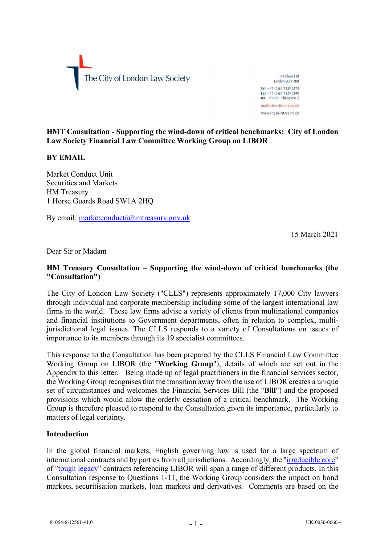

4 College Hill London FC4R 2RB Tel +44 (0)20 7329 2173 Fax +44 (0)20 7329 2190  $DX$  98936 - Cheapside 2 mail@citysolicitors.org.uk www.citysolicitors.org.uk

### **HMT Consultation - Supporting the wind-down of critical benchmarks: City of London Law Society Financial Law Committee Working Group on LIBOR**

### **BY EMAIL**

Market Conduct Unit Securities and Markets HM Treasury 1 Horse Guards Road SW1A 2HQ

By email: [marketconduct@hmtreasury.gov.uk](mailto:marketconduct@hmtreasury.gov.uk)

15 March 2021

Dear Sir or Madam

## **HM Treasury Consultation – Supporting the wind-down of critical benchmarks (the "Consultation")**

The City of London Law Society ("CLLS") represents approximately 17,000 City lawyers through individual and corporate membership including some of the largest international law firms in the world. These law firms advise a variety of clients from multinational companies and financial institutions to Government departments, often in relation to complex, multijurisdictional legal issues. The CLLS responds to a variety of Consultations on issues of importance to its members through its 19 specialist committees.

This response to the Consultation has been prepared by the CLLS Financial Law Committee Working Group on LIBOR (the "**Working Group**"), details of which are set out in the Appendix to this letter. Being made up of legal practitioners in the financial services sector, the Working Group recognises that the transition away from the use of LIBOR creates a unique set of circumstances and welcomes the Financial Services Bill (the "**Bill**") and the proposed provisions which would allow the orderly cessation of a critical benchmark. The Working Group is therefore pleased to respond to the Consultation given its importance, particularly to matters of legal certainty.

#### **Introduction**

In the global financial markets, English governing law is used for a large spectrum of international contracts and by parties from all jurisdictions. Accordingly, the ["irreducible core"](https://questions-statements.parliament.uk/written-statements/detail/2020-06-23/HCWS307) of ["tough legacy"](https://www.bankofengland.co.uk/-/media/boe/files/markets/benchmarks/paper-on-the-identification-of-tough-legacy-issues.pdfhttps:/www.bankofengland.co.uk/-/media/boe/files/markets/benchmarks/paper-on-the-identification-of-tough-legacy-issues.pdf) contracts referencing LIBOR will span a range of different products. In this Consultation response to Questions 1-11, the Working Group considers the impact on bond markets, securitisation markets, loan markets and derivatives. Comments are based on the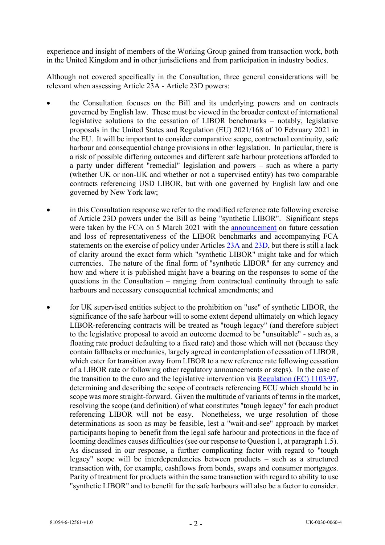experience and insight of members of the Working Group gained from transaction work, both in the United Kingdom and in other jurisdictions and from participation in industry bodies.

Although not covered specifically in the Consultation, three general considerations will be relevant when assessing Article 23A - Article 23D powers:

- the Consultation focuses on the Bill and its underlying powers and on contracts governed by English law. These must be viewed in the broader context of international legislative solutions to the cessation of LIBOR benchmarks – notably, legislative proposals in the United States and Regulation (EU) 2021/168 of 10 February 2021 in the EU. It will be important to consider comparative scope, contractual continuity, safe harbour and consequential change provisions in other legislation. In particular, there is a risk of possible differing outcomes and different safe harbour protections afforded to a party under different "remedial" legislation and powers – such as where a party (whether UK or non-UK and whether or not a supervised entity) has two comparable contracts referencing USD LIBOR, but with one governed by English law and one governed by New York law;
- in this Consultation response we refer to the modified reference rate following exercise of Article 23D powers under the Bill as being "synthetic LIBOR". Significant steps were taken by the FCA on 5 March 2021 with the [announcement](https://www.fca.org.uk/publication/documents/future-cessation-loss-representativeness-libor-benchmarks.pdf) on future cessation and loss of representativeness of the LIBOR benchmarks and accompanying FCA statements on the exercise of policy under Articles [23A](https://www.fca.org.uk/publication/policy/statement-policy-benchmarks-article-23a-bmr.pdf) and [23D,](https://www.fca.org.uk/publication/policy/statement-policy-fca-powers-article-23d-bmr.pdf) but there is still a lack of clarity around the exact form which "synthetic LIBOR" might take and for which currencies. The nature of the final form of "synthetic LIBOR" for any currency and how and where it is published might have a bearing on the responses to some of the questions in the Consultation – ranging from contractual continuity through to safe harbours and necessary consequential technical amendments; and
- for UK supervised entities subject to the prohibition on "use" of synthetic LIBOR, the significance of the safe harbour will to some extent depend ultimately on which legacy LIBOR-referencing contracts will be treated as "tough legacy" (and therefore subject to the legislative proposal to avoid an outcome deemed to be "unsuitable" - such as, a floating rate product defaulting to a fixed rate) and those which will not (because they contain fallbacks or mechanics, largely agreed in contemplation of cessation of LIBOR, which cater for transition away from LIBOR to a new reference rate following cessation of a LIBOR rate or following other regulatory announcements or steps). In the case of the transition to the euro and the legislative intervention via [Regulation \(EC\) 1103/97,](https://www.legislation.gov.uk/eur/1997/1103) determining and describing the scope of contracts referencing ECU which should be in scope was more straight-forward. Given the multitude of variants of terms in the market, resolving the scope (and definition) of what constitutes "tough legacy" for each product referencing LIBOR will not be easy. Nonetheless, we urge resolution of those determinations as soon as may be feasible, lest a "wait-and-see" approach by market participants hoping to benefit from the legal safe harbour and protections in the face of looming deadlines causes difficulties (see our response to Question 1, at paragraph 1.5). As discussed in our response, a further complicating factor with regard to "tough legacy" scope will be interdependencies between products – such as a structured transaction with, for example, cashflows from bonds, swaps and consumer mortgages. Parity of treatment for products within the same transaction with regard to ability to use "synthetic LIBOR" and to benefit for the safe harbours will also be a factor to consider.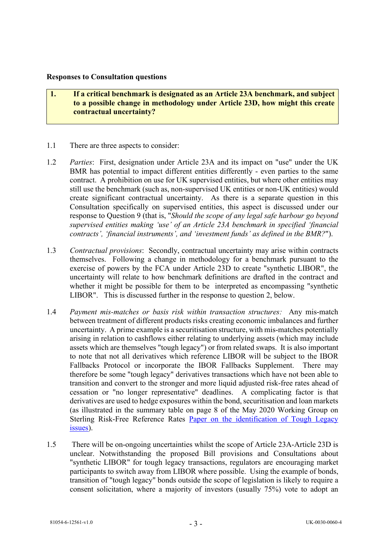#### **Responses to Consultation questions**

- **1. If a critical benchmark is designated as an Article 23A benchmark, and subject to a possible change in methodology under Article 23D, how might this create contractual uncertainty?**
- 1.1 There are three aspects to consider:
- 1.2 *Parties*: First, designation under Article 23A and its impact on "use" under the UK BMR has potential to impact different entities differently - even parties to the same contract. A prohibition on use for UK supervised entities, but where other entities may still use the benchmark (such as, non-supervised UK entities or non-UK entities) would create significant contractual uncertainty. As there is a separate question in this Consultation specifically on supervised entities, this aspect is discussed under our response to Question 9 (that is, "*Should the scope of any legal safe harbour go beyond supervised entities making 'use' of an Article 23A benchmark in specified 'financial contracts', 'financial instruments', and 'investment funds' as defined in the BMR?*").
- 1.3 *Contractual provisions*: Secondly, contractual uncertainty may arise within contracts themselves. Following a change in methodology for a benchmark pursuant to the exercise of powers by the FCA under Article 23D to create "synthetic LIBOR", the uncertainty will relate to how benchmark definitions are drafted in the contract and whether it might be possible for them to be interpreted as encompassing "synthetic LIBOR". This is discussed further in the response to question 2, below.
- 1.4 *Payment mis-matches or basis risk within transaction structures:* Any mis-match between treatment of different products risks creating economic imbalances and further uncertainty. A prime example is a securitisation structure, with mis-matches potentially arising in relation to cashflows either relating to underlying assets (which may include assets which are themselves "tough legacy") or from related swaps. It is also important to note that not all derivatives which reference LIBOR will be subject to the IBOR Fallbacks Protocol or incorporate the IBOR Fallbacks Supplement. There may therefore be some "tough legacy" derivatives transactions which have not been able to transition and convert to the stronger and more liquid adjusted risk-free rates ahead of cessation or "no longer representative" deadlines. A complicating factor is that derivatives are used to hedge exposures within the bond, securitisation and loan markets (as illustrated in the summary table on page 8 of the May 2020 Working Group on Sterling Risk-Free Reference Rates [Paper on the identification of Tough Legacy](https://www.bankofengland.co.uk/-/media/boe/files/markets/benchmarks/paper-on-the-identification-of-tough-legacy-issues.pdfhttps:/www.bankofengland.co.uk/-/media/boe/files/markets/benchmarks/paper-on-the-identification-of-tough-legacy-issues.pdf)  [issues\)](https://www.bankofengland.co.uk/-/media/boe/files/markets/benchmarks/paper-on-the-identification-of-tough-legacy-issues.pdfhttps:/www.bankofengland.co.uk/-/media/boe/files/markets/benchmarks/paper-on-the-identification-of-tough-legacy-issues.pdf).
- 1.5 There will be on-ongoing uncertainties whilst the scope of Article 23A-Article 23D is unclear. Notwithstanding the proposed Bill provisions and Consultations about "synthetic LIBOR" for tough legacy transactions, regulators are encouraging market participants to switch away from LIBOR where possible. Using the example of bonds, transition of "tough legacy" bonds outside the scope of legislation is likely to require a consent solicitation, where a majority of investors (usually 75%) vote to adopt an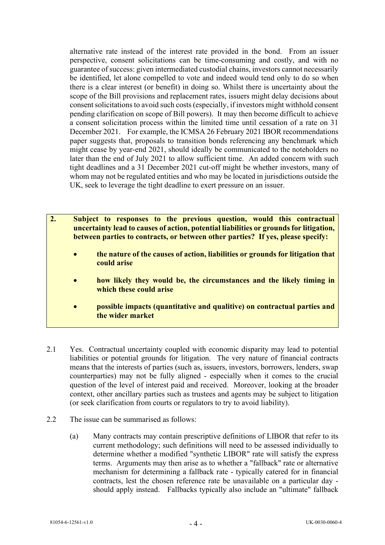alternative rate instead of the interest rate provided in the bond. From an issuer perspective, consent solicitations can be time-consuming and costly, and with no guarantee of success: given intermediated custodial chains, investors cannot necessarily be identified, let alone compelled to vote and indeed would tend only to do so when there is a clear interest (or benefit) in doing so. Whilst there is uncertainty about the scope of the Bill provisions and replacement rates, issuers might delay decisions about consent solicitations to avoid such costs (especially, if investors might withhold consent pending clarification on scope of Bill powers). It may then become difficult to achieve a consent solicitation process within the limited time until cessation of a rate on 31 December 2021. For example, the ICMSA 26 February 2021 IBOR recommendations paper suggests that, proposals to transition bonds referencing any benchmark which might cease by year-end 2021, should ideally be communicated to the noteholders no later than the end of July 2021 to allow sufficient time. An added concern with such tight deadlines and a 31 December 2021 cut-off might be whether investors, many of whom may not be regulated entities and who may be located in jurisdictions outside the UK, seek to leverage the tight deadline to exert pressure on an issuer.

- **2. Subject to responses to the previous question, would this contractual uncertainty lead to causes of action, potential liabilities or grounds for litigation, between parties to contracts, or between other parties? If yes, please specify:** 
	- **the nature of the causes of action, liabilities or grounds for litigation that could arise**
	- **how likely they would be, the circumstances and the likely timing in which these could arise**
	- **possible impacts (quantitative and qualitive) on contractual parties and the wider market**
- 2.1 Yes. Contractual uncertainty coupled with economic disparity may lead to potential liabilities or potential grounds for litigation. The very nature of financial contracts means that the interests of parties (such as, issuers, investors, borrowers, lenders, swap counterparties) may not be fully aligned - especially when it comes to the crucial question of the level of interest paid and received. Moreover, looking at the broader context, other ancillary parties such as trustees and agents may be subject to litigation (or seek clarification from courts or regulators to try to avoid liability).
- <span id="page-3-0"></span>2.2 The issue can be summarised as follows:
	- (a) Many contracts may contain prescriptive definitions of LIBOR that refer to its current methodology; such definitions will need to be assessed individually to determine whether a modified "synthetic LIBOR" rate will satisfy the express terms. Arguments may then arise as to whether a "fallback" rate or alternative mechanism for determining a fallback rate - typically catered for in financial contracts, lest the chosen reference rate be unavailable on a particular day should apply instead. Fallbacks typically also include an "ultimate" fallback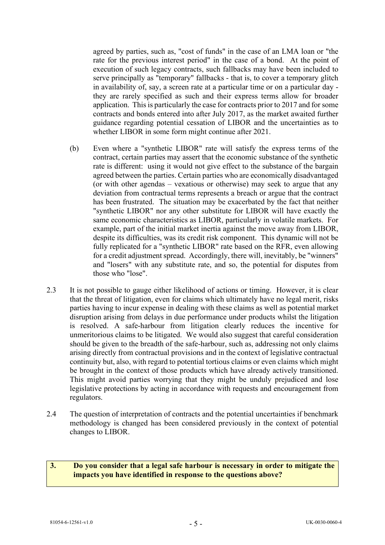agreed by parties, such as, "cost of funds" in the case of an LMA loan or "the rate for the previous interest period" in the case of a bond. At the point of execution of such legacy contracts, such fallbacks may have been included to serve principally as "temporary" fallbacks - that is, to cover a temporary glitch in availability of, say, a screen rate at a particular time or on a particular day they are rarely specified as such and their express terms allow for broader application. This is particularly the case for contracts prior to 2017 and for some contracts and bonds entered into after July 2017, as the market awaited further guidance regarding potential cessation of LIBOR and the uncertainties as to whether LIBOR in some form might continue after 2021.

- (b) Even where a "synthetic LIBOR" rate will satisfy the express terms of the contract, certain parties may assert that the economic substance of the synthetic rate is different: using it would not give effect to the substance of the bargain agreed between the parties. Certain parties who are economically disadvantaged (or with other agendas – vexatious or otherwise) may seek to argue that any deviation from contractual terms represents a breach or argue that the contract has been frustrated. The situation may be exacerbated by the fact that neither "synthetic LIBOR" nor any other substitute for LIBOR will have exactly the same economic characteristics as LIBOR, particularly in volatile markets. For example, part of the initial market inertia against the move away from LIBOR, despite its difficulties, was its credit risk component. This dynamic will not be fully replicated for a "synthetic LIBOR" rate based on the RFR, even allowing for a credit adjustment spread. Accordingly, there will, inevitably, be "winners" and "losers" with any substitute rate, and so, the potential for disputes from those who "lose".
- 2.3 It is not possible to gauge either likelihood of actions or timing. However, it is clear that the threat of litigation, even for claims which ultimately have no legal merit, risks parties having to incur expense in dealing with these claims as well as potential market disruption arising from delays in due performance under products whilst the litigation is resolved. A safe-harbour from litigation clearly reduces the incentive for unmeritorious claims to be litigated. We would also suggest that careful consideration should be given to the breadth of the safe-harbour, such as, addressing not only claims arising directly from contractual provisions and in the context of legislative contractual continuity but, also, with regard to potential tortious claims or even claims which might be brought in the context of those products which have already actively transitioned. This might avoid parties worrying that they might be unduly prejudiced and lose legislative protections by acting in accordance with requests and encouragement from regulators.
- 2.4 The question of interpretation of contracts and the potential uncertainties if benchmark methodology is changed has been considered previously in the context of potential changes to LIBOR.

### **3. Do you consider that a legal safe harbour is necessary in order to mitigate the impacts you have identified in response to the questions above?**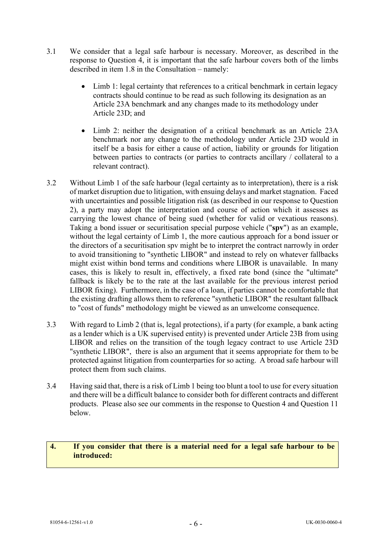- 3.1 We consider that a legal safe harbour is necessary. Moreover, as described in the response to Question 4, it is important that the safe harbour covers both of the limbs described in item 1.8 in the Consultation – namely:
	- Limb 1: legal certainty that references to a critical benchmark in certain legacy contracts should continue to be read as such following its designation as an Article 23A benchmark and any changes made to its methodology under Article 23D; and
	- Limb 2: neither the designation of a critical benchmark as an Article 23A benchmark nor any change to the methodology under Article 23D would in itself be a basis for either a cause of action, liability or grounds for litigation between parties to contracts (or parties to contracts ancillary / collateral to a relevant contract).
- 3.2 Without Limb 1 of the safe harbour (legal certainty as to interpretation), there is a risk of market disruption due to litigation, with ensuing delays and market stagnation. Faced with uncertainties and possible litigation risk (as described in our response to Question 2), a party may adopt the interpretation and course of action which it assesses as carrying the lowest chance of being sued (whether for valid or vexatious reasons). Taking a bond issuer or securitisation special purpose vehicle ("**spv**") as an example, without the legal certainty of Limb 1, the more cautious approach for a bond issuer or the directors of a securitisation spv might be to interpret the contract narrowly in order to avoid transitioning to "synthetic LIBOR" and instead to rely on whatever fallbacks might exist within bond terms and conditions where LIBOR is unavailable. In many cases, this is likely to result in, effectively, a fixed rate bond (since the "ultimate" fallback is likely be to the rate at the last available for the previous interest period LIBOR fixing). Furthermore, in the case of a loan, if parties cannot be comfortable that the existing drafting allows them to reference "synthetic LIBOR" the resultant fallback to "cost of funds" methodology might be viewed as an unwelcome consequence.
- 3.3 With regard to Limb 2 (that is, legal protections), if a party (for example, a bank acting as a lender which is a UK supervised entity) is prevented under Article 23B from using LIBOR and relies on the transition of the tough legacy contract to use Article 23D "synthetic LIBOR", there is also an argument that it seems appropriate for them to be protected against litigation from counterparties for so acting. A broad safe harbour will protect them from such claims.
- 3.4 Having said that, there is a risk of Limb 1 being too blunt a tool to use for every situation and there will be a difficult balance to consider both for different contracts and different products. Please also see our comments in the response to Question 4 and Question 11 below.

# **4. If you consider that there is a material need for a legal safe harbour to be introduced:**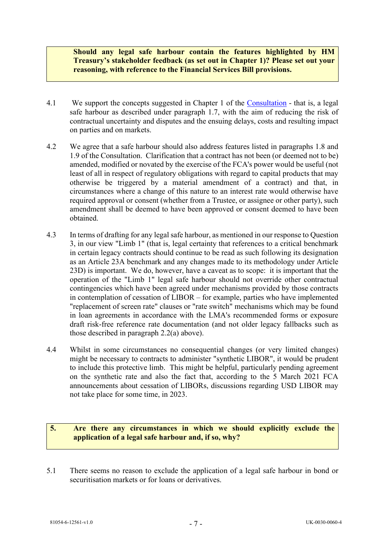**Should any legal safe harbour contain the features highlighted by HM Treasury's stakeholder feedback (as set out in Chapter 1)? Please set out your reasoning, with reference to the Financial Services Bill provisions.**

- 4.1 We support the concepts suggested in Chapter 1 of the [Consultation](https://assets.publishing.service.gov.uk/government/uploads/system/uploads/attachment_data/file/961317/HMT_Safe_harbour_Consultation.pdf) that is, a legal safe harbour as described under paragraph 1.7, with the aim of reducing the risk of contractual uncertainty and disputes and the ensuing delays, costs and resulting impact on parties and on markets.
- 4.2 We agree that a safe harbour should also address features listed in paragraphs 1.8 and 1.9 of the Consultation. Clarification that a contract has not been (or deemed not to be) amended, modified or novated by the exercise of the FCA's power would be useful (not least of all in respect of regulatory obligations with regard to capital products that may otherwise be triggered by a material amendment of a contract) and that, in circumstances where a change of this nature to an interest rate would otherwise have required approval or consent (whether from a Trustee, or assignee or other party), such amendment shall be deemed to have been approved or consent deemed to have been obtained.
- 4.3 In terms of drafting for any legal safe harbour, as mentioned in our response to Question 3, in our view "Limb 1" (that is, legal certainty that references to a critical benchmark in certain legacy contracts should continue to be read as such following its designation as an Article 23A benchmark and any changes made to its methodology under Article 23D) is important. We do, however, have a caveat as to scope: it is important that the operation of the "Limb 1" legal safe harbour should not override other contractual contingencies which have been agreed under mechanisms provided by those contracts in contemplation of cessation of LIBOR – for example, parties who have implemented "replacement of screen rate" clauses or "rate switch" mechanisms which may be found in loan agreements in accordance with the LMA's recommended forms or exposure draft risk-free reference rate documentation (and not older legacy fallbacks such as those described in paragraph [2.2\(a\)](#page-3-0) above).
- 4.4 Whilst in some circumstances no consequential changes (or very limited changes) might be necessary to contracts to administer "synthetic LIBOR", it would be prudent to include this protective limb. This might be helpful, particularly pending agreement on the synthetic rate and also the fact that, according to the 5 March 2021 FCA announcements about cessation of LIBORs, discussions regarding USD LIBOR may not take place for some time, in 2023.

# **5. Are there any circumstances in which we should explicitly exclude the application of a legal safe harbour and, if so, why?**

5.1 There seems no reason to exclude the application of a legal safe harbour in bond or securitisation markets or for loans or derivatives.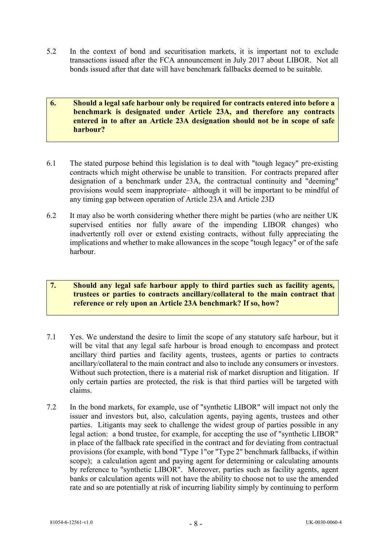5.2 In the context of bond and securitisation markets, it is important not to exclude transactions issued after the FCA announcement in July 2017 about LIBOR. Not all bonds issued after that date will have benchmark fallbacks deemed to be suitable.

### **6. Should a legal safe harbour only be required for contracts entered into before a benchmark is designated under Article 23A, and therefore any contracts entered in to after an Article 23A designation should not be in scope of safe harbour?**

- 6.1 The stated purpose behind this legislation is to deal with "tough legacy" pre-existing contracts which might otherwise be unable to transition. For contracts prepared after designation of a benchmark under 23A, the contractual continuity and "deeming" provisions would seem inappropriate– although it will be important to be mindful of any timing gap between operation of Article 23A and Article 23D
- 6.2 It may also be worth considering whether there might be parties (who are neither UK supervised entities nor fully aware of the impending LIBOR changes) who inadvertently roll over or extend existing contracts, without fully appreciating the implications and whether to make allowances in the scope "tough legacy" or of the safe harbour.

# **7. Should any legal safe harbour apply to third parties such as facility agents, trustees or parties to contracts ancillary/collateral to the main contract that reference or rely upon an Article 23A benchmark? If so, how?**

- 7.1 Yes. We understand the desire to limit the scope of any statutory safe harbour, but it will be vital that any legal safe harbour is broad enough to encompass and protect ancillary third parties and facility agents, trustees, agents or parties to contracts ancillary/collateral to the main contract and also to include any consumers or investors. Without such protection, there is a material risk of market disruption and litigation. If only certain parties are protected, the risk is that third parties will be targeted with claims.
- 7.2 In the bond markets, for example, use of "synthetic LIBOR" will impact not only the issuer and investors but, also, calculation agents, paying agents, trustees and other parties. Litigants may seek to challenge the widest group of parties possible in any legal action: a bond trustee, for example, for accepting the use of "synthetic LIBOR" in place of the fallback rate specified in the contract and for deviating from contractual provisions (for example, with bond "Type 1"or "Type 2" benchmark fallbacks, if within scope); a calculation agent and paying agent for determining or calculating amounts by reference to "synthetic LIBOR". Moreover, parties such as facility agents, agent banks or calculation agents will not have the ability to choose not to use the amended rate and so are potentially at risk of incurring liability simply by continuing to perform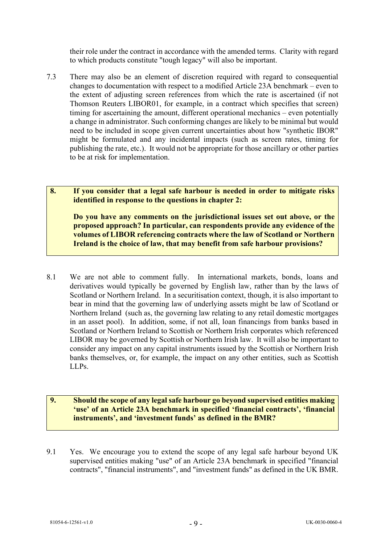their role under the contract in accordance with the amended terms. Clarity with regard to which products constitute "tough legacy" will also be important.

7.3 There may also be an element of discretion required with regard to consequential changes to documentation with respect to a modified Article 23A benchmark – even to the extent of adjusting screen references from which the rate is ascertained (if not Thomson Reuters LIBOR01, for example, in a contract which specifies that screen) timing for ascertaining the amount, different operational mechanics – even potentially a change in administrator. Such conforming changes are likely to be minimal but would need to be included in scope given current uncertainties about how "synthetic IBOR" might be formulated and any incidental impacts (such as screen rates, timing for publishing the rate, etc.). It would not be appropriate for those ancillary or other parties to be at risk for implementation.

**8. If you consider that a legal safe harbour is needed in order to mitigate risks identified in response to the questions in chapter 2:** 

**Do you have any comments on the jurisdictional issues set out above, or the proposed approach? In particular, can respondents provide any evidence of the volumes of LIBOR referencing contracts where the law of Scotland or Northern Ireland is the choice of law, that may benefit from safe harbour provisions?**

8.1 We are not able to comment fully. In international markets, bonds, loans and derivatives would typically be governed by English law, rather than by the laws of Scotland or Northern Ireland. In a securitisation context, though, it is also important to bear in mind that the governing law of underlying assets might be law of Scotland or Northern Ireland (such as, the governing law relating to any retail domestic mortgages in an asset pool). In addition, some, if not all, loan financings from banks based in Scotland or Northern Ireland to Scottish or Northern Irish corporates which referenced LIBOR may be governed by Scottish or Northern Irish law. It will also be important to consider any impact on any capital instruments issued by the Scottish or Northern Irish banks themselves, or, for example, the impact on any other entities, such as Scottish LLPs.

# **9. Should the scope of any legal safe harbour go beyond supervised entities making 'use' of an Article 23A benchmark in specified 'financial contracts', 'financial instruments', and 'investment funds' as defined in the BMR?**

9.1 Yes. We encourage you to extend the scope of any legal safe harbour beyond UK supervised entities making "use" of an Article 23A benchmark in specified "financial contracts", "financial instruments", and "investment funds" as defined in the UK BMR.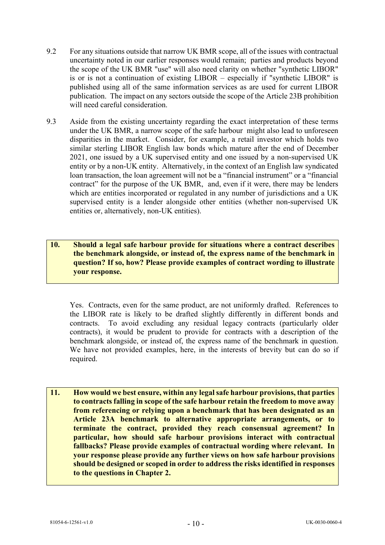- 9.2 For any situations outside that narrow UK BMR scope, all of the issues with contractual uncertainty noted in our earlier responses would remain; parties and products beyond the scope of the UK BMR "use" will also need clarity on whether "synthetic LIBOR" is or is not a continuation of existing LIBOR – especially if "synthetic LIBOR" is published using all of the same information services as are used for current LIBOR publication. The impact on any sectors outside the scope of the Article 23B prohibition will need careful consideration.
- 9.3 Aside from the existing uncertainty regarding the exact interpretation of these terms under the UK BMR, a narrow scope of the safe harbour might also lead to unforeseen disparities in the market. Consider, for example, a retail investor which holds two similar sterling LIBOR English law bonds which mature after the end of December 2021, one issued by a UK supervised entity and one issued by a non-supervised UK entity or by a non-UK entity. Alternatively, in the context of an English law syndicated loan transaction, the loan agreement will not be a "financial instrument" or a "financial contract" for the purpose of the UK BMR, and, even if it were, there may be lenders which are entities incorporated or regulated in any number of jurisdictions and a UK supervised entity is a lender alongside other entities (whether non-supervised UK entities or, alternatively, non-UK entities).

# **10. Should a legal safe harbour provide for situations where a contract describes the benchmark alongside, or instead of, the express name of the benchmark in question? If so, how? Please provide examples of contract wording to illustrate your response.**

Yes. Contracts, even for the same product, are not uniformly drafted. References to the LIBOR rate is likely to be drafted slightly differently in different bonds and contracts. To avoid excluding any residual legacy contracts (particularly older contracts), it would be prudent to provide for contracts with a description of the benchmark alongside, or instead of, the express name of the benchmark in question. We have not provided examples, here, in the interests of brevity but can do so if required.

**11. How would we best ensure, within any legal safe harbour provisions, that parties to contracts falling in scope of the safe harbour retain the freedom to move away from referencing or relying upon a benchmark that has been designated as an Article 23A benchmark to alternative appropriate arrangements, or to terminate the contract, provided they reach consensual agreement? In particular, how should safe harbour provisions interact with contractual fallbacks? Please provide examples of contractual wording where relevant. In your response please provide any further views on how safe harbour provisions should be designed or scoped in order to address the risks identified in responses to the questions in Chapter 2.**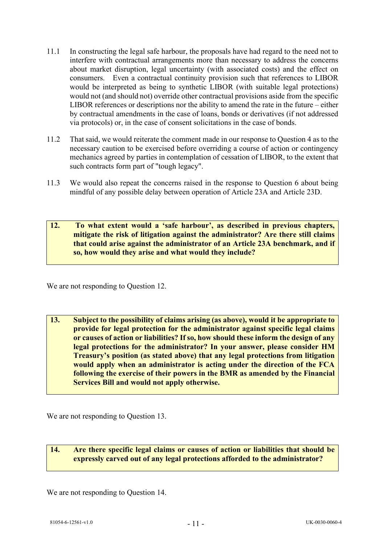- 11.1 In constructing the legal safe harbour, the proposals have had regard to the need not to interfere with contractual arrangements more than necessary to address the concerns about market disruption, legal uncertainty (with associated costs) and the effect on consumers. Even a contractual continuity provision such that references to LIBOR would be interpreted as being to synthetic LIBOR (with suitable legal protections) would not (and should not) override other contractual provisions aside from the specific LIBOR references or descriptions nor the ability to amend the rate in the future – either by contractual amendments in the case of loans, bonds or derivatives (if not addressed via protocols) or, in the case of consent solicitations in the case of bonds.
- 11.2 That said, we would reiterate the comment made in our response to Question 4 as to the necessary caution to be exercised before overriding a course of action or contingency mechanics agreed by parties in contemplation of cessation of LIBOR, to the extent that such contracts form part of "tough legacy".
- 11.3 We would also repeat the concerns raised in the response to Question 6 about being mindful of any possible delay between operation of Article 23A and Article 23D.
- **12. To what extent would a 'safe harbour', as described in previous chapters, mitigate the risk of litigation against the administrator? Are there still claims that could arise against the administrator of an Article 23A benchmark, and if so, how would they arise and what would they include?**

We are not responding to Question 12.

**13. Subject to the possibility of claims arising (as above), would it be appropriate to provide for legal protection for the administrator against specific legal claims or causes of action or liabilities? If so, how should these inform the design of any legal protections for the administrator? In your answer, please consider HM Treasury's position (as stated above) that any legal protections from litigation would apply when an administrator is acting under the direction of the FCA following the exercise of their powers in the BMR as amended by the Financial Services Bill and would not apply otherwise.**

We are not responding to Question 13.

**14. Are there specific legal claims or causes of action or liabilities that should be expressly carved out of any legal protections afforded to the administrator?**

We are not responding to Question 14.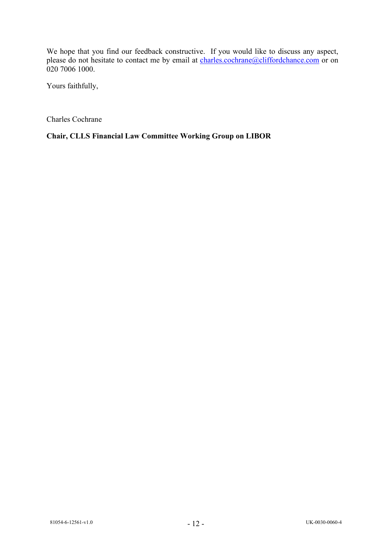We hope that you find our feedback constructive. If you would like to discuss any aspect, please do not hesitate to contact me by email at [charles.cochrane@cliffordchance.com](mailto:charles.cochrane@cliffordchance.com) or on 020 7006 1000.

Yours faithfully,

Charles Cochrane

**Chair, CLLS Financial Law Committee Working Group on LIBOR**